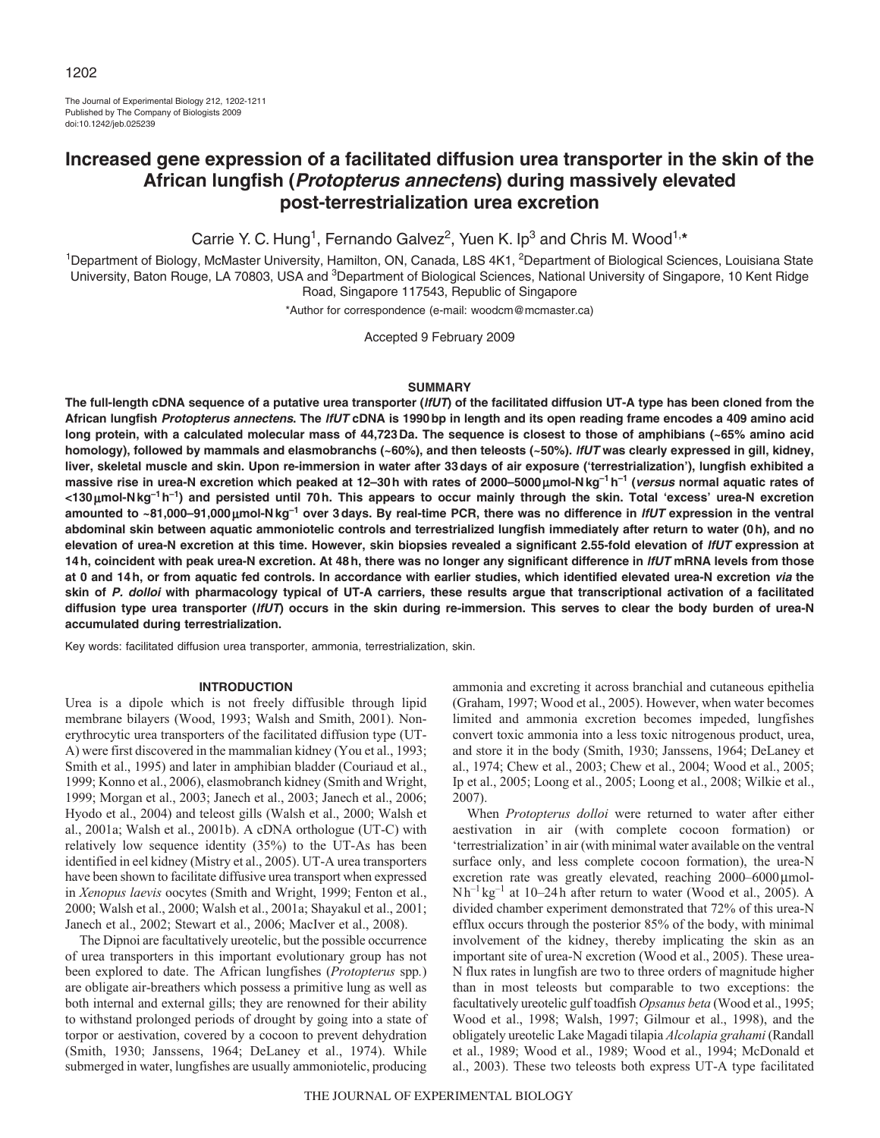The Journal of Experimental Biology 212, 1202-1211 Published by The Company of Biologists 2009 doi:10.1242/jeb.025239

# **Increased gene expression of a facilitated diffusion urea transporter in the skin of the African lungfish (Protopterus annectens) during massively elevated post-terrestrialization urea excretion**

Carrie Y. C. Hung<sup>1</sup>, Fernando Galvez<sup>2</sup>, Yuen K. Ip<sup>3</sup> and Chris M. Wood<sup>1,\*</sup>

<sup>1</sup>Department of Biology, McMaster University, Hamilton, ON, Canada, L8S 4K1, <sup>2</sup>Department of Biological Sciences, Louisiana State University, Baton Rouge, LA 70803, USA and <sup>3</sup>Department of Biological Sciences, National University of Singapore, 10 Kent Ridge Road, Singapore 117543, Republic of Singapore

\*Author for correspondence (e-mail: woodcm@mcmaster.ca)

Accepted 9 February 2009

### **SUMMARY**

**The full-length cDNA sequence of a putative urea transporter (lfUT) of the facilitated diffusion UT-A type has been cloned from the African lungfish Protopterus annectens. The lfUT cDNA is 1990bp in length and its open reading frame encodes a 409 amino acid long protein, with a calculated molecular mass of 44,723Da. The sequence is closest to those of amphibians (~65% amino acid homology), followed by mammals and elasmobranchs (~60%), and then teleosts (~50%). lfUT was clearly expressed in gill, kidney, liver, skeletal muscle and skin. Upon re-immersion in water after 33days of air exposure ('terrestrialization'), lungfish exhibited a massive rise in urea-N excretion which peaked at 12–30h with rates of 2000–5000**μ**mol-Nkg–1h–1 (versus normal aquatic rates of <130**μ**mol-Nkg–1h–1) and persisted until 70h. This appears to occur mainly through the skin. Total 'excess' urea-N excretion amounted to ~81,000–91,000**μ**mol-Nkg–1 over 3days. By real-time PCR, there was no difference in lfUT expression in the ventral abdominal skin between aquatic ammoniotelic controls and terrestrialized lungfish immediately after return to water (0h), and no elevation of urea-N excretion at this time. However, skin biopsies revealed a significant 2.55-fold elevation of lfUT expression at 14h, coincident with peak urea-N excretion. At 48h, there was no longer any significant difference in lfUT mRNA levels from those at 0 and 14h, or from aquatic fed controls. In accordance with earlier studies, which identified elevated urea-N excretion via the skin of P. dolloi with pharmacology typical of UT-A carriers, these results argue that transcriptional activation of a facilitated diffusion type urea transporter (lfUT) occurs in the skin during re-immersion. This serves to clear the body burden of urea-N accumulated during terrestrialization.**

Key words: facilitated diffusion urea transporter, ammonia, terrestrialization, skin.

#### **INTRODUCTION**

Urea is a dipole which is not freely diffusible through lipid membrane bilayers (Wood, 1993; Walsh and Smith, 2001). Nonerythrocytic urea transporters of the facilitated diffusion type (UT-A) were first discovered in the mammalian kidney (You et al., 1993; Smith et al., 1995) and later in amphibian bladder (Couriaud et al., 1999; Konno et al., 2006), elasmobranch kidney (Smith and Wright, 1999; Morgan et al., 2003; Janech et al., 2003; Janech et al., 2006; Hyodo et al., 2004) and teleost gills (Walsh et al., 2000; Walsh et al., 2001a; Walsh et al., 2001b). A cDNA orthologue (UT-C) with relatively low sequence identity (35%) to the UT-As has been identified in eel kidney (Mistry et al., 2005). UT-A urea transporters have been shown to facilitate diffusive urea transport when expressed in *Xenopus laevis* oocytes (Smith and Wright, 1999; Fenton et al., 2000; Walsh et al., 2000; Walsh et al., 2001a; Shayakul et al., 2001; Janech et al., 2002; Stewart et al., 2006; MacIver et al., 2008).

The Dipnoi are facultatively ureotelic, but the possible occurrence of urea transporters in this important evolutionary group has not been explored to date. The African lungfishes (*Protopterus* spp*.*) are obligate air-breathers which possess a primitive lung as well as both internal and external gills; they are renowned for their ability to withstand prolonged periods of drought by going into a state of torpor or aestivation, covered by a cocoon to prevent dehydration (Smith, 1930; Janssens, 1964; DeLaney et al., 1974). While submerged in water, lungfishes are usually ammoniotelic, producing

ammonia and excreting it across branchial and cutaneous epithelia (Graham, 1997; Wood et al., 2005). However, when water becomes limited and ammonia excretion becomes impeded, lungfishes convert toxic ammonia into a less toxic nitrogenous product, urea, and store it in the body (Smith, 1930; Janssens, 1964; DeLaney et al., 1974; Chew et al., 2003; Chew et al., 2004; Wood et al., 2005; Ip et al., 2005; Loong et al., 2005; Loong et al., 2008; Wilkie et al., 2007).

When *Protopterus dolloi* were returned to water after either aestivation in air (with complete cocoon formation) or 'terrestrialization' in air (with minimal water available on the ventral surface only, and less complete cocoon formation), the urea-N excretion rate was greatly elevated, reaching 2000–6000μmol-Nh<sup>-1</sup> kg<sup>-1</sup> at 10–24h after return to water (Wood et al., 2005). A divided chamber experiment demonstrated that 72% of this urea-N efflux occurs through the posterior 85% of the body, with minimal involvement of the kidney, thereby implicating the skin as an important site of urea-N excretion (Wood et al., 2005). These urea-N flux rates in lungfish are two to three orders of magnitude higher than in most teleosts but comparable to two exceptions: the facultatively ureotelic gulf toadfish *Opsanus beta* (Wood et al., 1995; Wood et al., 1998; Walsh, 1997; Gilmour et al., 1998), and the obligately ureotelic Lake Magadi tilapia *Alcolapia grahami* (Randall et al., 1989; Wood et al., 1989; Wood et al., 1994; McDonald et al., 2003). These two teleosts both express UT-A type facilitated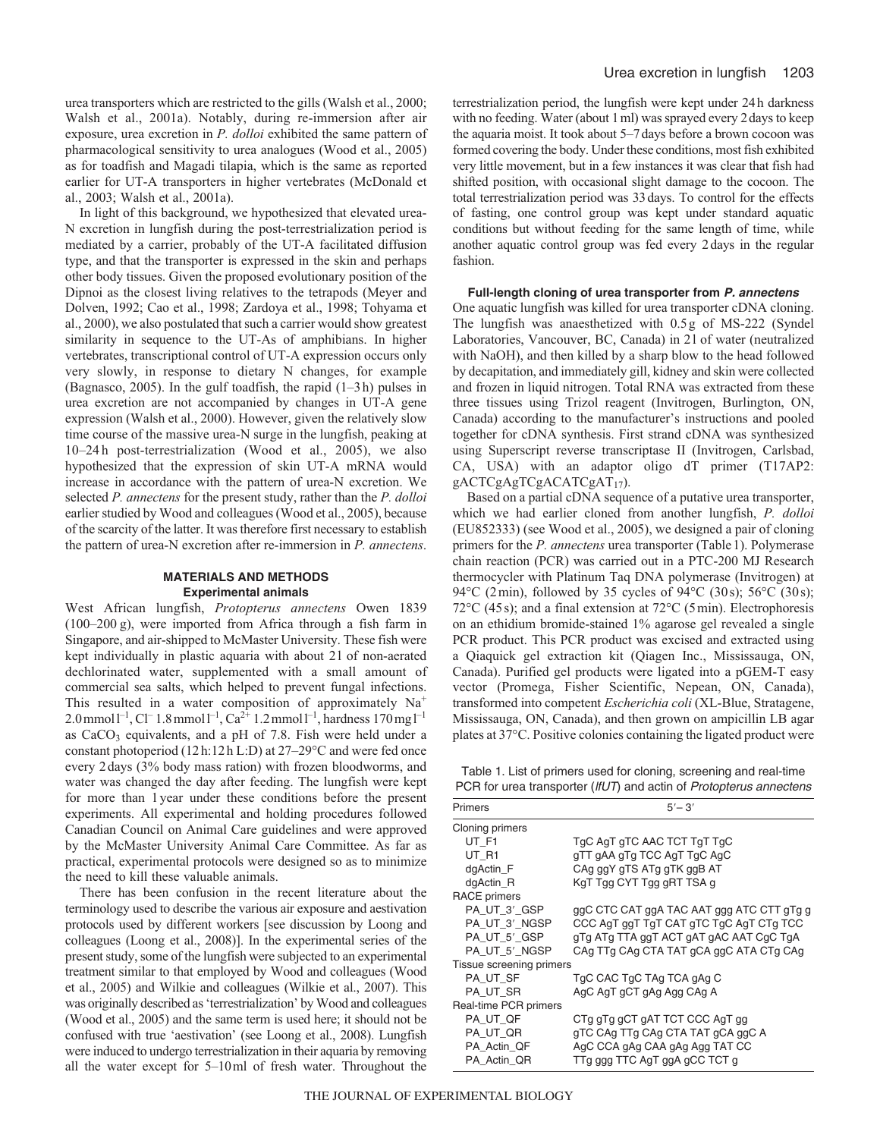urea transporters which are restricted to the gills (Walsh et al., 2000; Walsh et al., 2001a). Notably, during re-immersion after air exposure, urea excretion in *P. dolloi* exhibited the same pattern of pharmacological sensitivity to urea analogues (Wood et al., 2005) as for toadfish and Magadi tilapia, which is the same as reported earlier for UT-A transporters in higher vertebrates (McDonald et al., 2003; Walsh et al., 2001a).

In light of this background, we hypothesized that elevated urea-N excretion in lungfish during the post-terrestrialization period is mediated by a carrier, probably of the UT-A facilitated diffusion type, and that the transporter is expressed in the skin and perhaps other body tissues. Given the proposed evolutionary position of the Dipnoi as the closest living relatives to the tetrapods (Meyer and Dolven, 1992; Cao et al., 1998; Zardoya et al., 1998; Tohyama et al., 2000), we also postulated that such a carrier would show greatest similarity in sequence to the UT-As of amphibians. In higher vertebrates, transcriptional control of UT-A expression occurs only very slowly, in response to dietary N changes, for example (Bagnasco, 2005). In the gulf toadfish, the rapid (1–3h) pulses in urea excretion are not accompanied by changes in UT-A gene expression (Walsh et al., 2000). However, given the relatively slow time course of the massive urea-N surge in the lungfish, peaking at 10–24 h post-terrestrialization (Wood et al., 2005), we also hypothesized that the expression of skin UT-A mRNA would increase in accordance with the pattern of urea-N excretion. We selected *P. annectens* for the present study, rather than the *P. dolloi* earlier studied by Wood and colleagues (Wood et al., 2005), because of the scarcity of the latter. It was therefore first necessary to establish the pattern of urea-N excretion after re-immersion in *P. annectens*.

### **MATERIALS AND METHODS Experimental animals**

West African lungfish, *Protopterus annectens* Owen 1839 (100–200 g), were imported from Africa through a fish farm in Singapore, and air-shipped to McMaster University. These fish were kept individually in plastic aquaria with about 2l of non-aerated dechlorinated water, supplemented with a small amount of commercial sea salts, which helped to prevent fungal infections. This resulted in a water composition of approximately  $Na^+$ 2.0 mmol  $1^{-1}$ , Cl<sup>-</sup> 1.8 mmol  $1^{-1}$ , Ca<sup>2+</sup> 1.2 mmol  $1^{-1}$ , hardness 170 mg  $1^{-1}$ as  $CaCO<sub>3</sub>$  equivalents, and a pH of 7.8. Fish were held under a constant photoperiod (12h:12h L:D) at 27–29°C and were fed once every 2days (3% body mass ration) with frozen bloodworms, and water was changed the day after feeding. The lungfish were kept for more than 1year under these conditions before the present experiments. All experimental and holding procedures followed Canadian Council on Animal Care guidelines and were approved by the McMaster University Animal Care Committee. As far as practical, experimental protocols were designed so as to minimize the need to kill these valuable animals.

There has been confusion in the recent literature about the terminology used to describe the various air exposure and aestivation protocols used by different workers [see discussion by Loong and colleagues (Loong et al., 2008)]. In the experimental series of the present study, some of the lungfish were subjected to an experimental treatment similar to that employed by Wood and colleagues (Wood et al., 2005) and Wilkie and colleagues (Wilkie et al., 2007). This was originally described as 'terrestrialization' by Wood and colleagues (Wood et al., 2005) and the same term is used here; it should not be confused with true 'aestivation' (see Loong et al., 2008). Lungfish were induced to undergo terrestrialization in their aquaria by removing all the water except for 5–10ml of fresh water. Throughout the terrestrialization period, the lungfish were kept under 24h darkness with no feeding. Water (about 1ml) was sprayed every 2days to keep the aquaria moist. It took about 5–7days before a brown cocoon was formed covering the body. Under these conditions, most fish exhibited very little movement, but in a few instances it was clear that fish had shifted position, with occasional slight damage to the cocoon. The total terrestrialization period was 33days. To control for the effects of fasting, one control group was kept under standard aquatic conditions but without feeding for the same length of time, while another aquatic control group was fed every 2days in the regular fashion.

### **Full-length cloning of urea transporter from P. annectens**

One aquatic lungfish was killed for urea transporter cDNA cloning. The lungfish was anaesthetized with 0.5g of MS-222 (Syndel Laboratories, Vancouver, BC, Canada) in 2l of water (neutralized with NaOH), and then killed by a sharp blow to the head followed by decapitation, and immediately gill, kidney and skin were collected and frozen in liquid nitrogen. Total RNA was extracted from these three tissues using Trizol reagent (Invitrogen, Burlington, ON, Canada) according to the manufacturer's instructions and pooled together for cDNA synthesis. First strand cDNA was synthesized using Superscript reverse transcriptase II (Invitrogen, Carlsbad, CA, USA) with an adaptor oligo dT primer (T17AP2: gACTCgAgTCgACATCgAT17).

Based on a partial cDNA sequence of a putative urea transporter, which we had earlier cloned from another lungfish, *P. dolloi* (EU852333) (see Wood et al., 2005), we designed a pair of cloning primers for the *P. annectens* urea transporter (Table1). Polymerase chain reaction (PCR) was carried out in a PTC-200 MJ Research thermocycler with Platinum Taq DNA polymerase (Invitrogen) at 94°C (2min), followed by 35 cycles of 94°C (30s); 56°C (30s); 72°C (45s); and a final extension at 72°C (5min). Electrophoresis on an ethidium bromide-stained 1% agarose gel revealed a single PCR product. This PCR product was excised and extracted using a Qiaquick gel extraction kit (Qiagen Inc., Mississauga, ON, Canada). Purified gel products were ligated into a pGEM-T easy vector (Promega, Fisher Scientific, Nepean, ON, Canada), transformed into competent *Escherichia coli* (XL-Blue, Stratagene, Mississauga, ON, Canada), and then grown on ampicillin LB agar plates at 37°C. Positive colonies containing the ligated product were

Table 1. List of primers used for cloning, screening and real-time PCR for urea transporter (IfUT) and actin of Protopterus annectens

| Primers                  | $5' - 3'$                                 |  |  |
|--------------------------|-------------------------------------------|--|--|
| Cloning primers          |                                           |  |  |
| UT_F1                    | TgC AgT gTC AAC TCT TgT TgC               |  |  |
| UT R1                    | gTT gAA gTg TCC AgT TgC AgC               |  |  |
| dgActin_F                | CAg ggY gTS ATg gTK ggB AT                |  |  |
| dgActin_R                | KgT Tgg CYT Tgg gRT TSA g                 |  |  |
| <b>RACE</b> primers      |                                           |  |  |
| PA_UT_3'_GSP             | ggC CTC CAT ggA TAC AAT ggg ATC CTT gTg g |  |  |
| PA_UT_3'_NGSP            | CCC AgT ggT TgT CAT gTC TgC AgT CTg TCC   |  |  |
| PA_UT_5'_GSP             | gTg ATg TTA ggT ACT gAT gAC AAT CgC TgA   |  |  |
| PA_UT_5'_NGSP            | CAg TTg CAg CTA TAT gCA ggC ATA CTg CAg   |  |  |
| Tissue screening primers |                                           |  |  |
| PA_UT_SF                 | TgC CAC TgC TAg TCA gAg C                 |  |  |
| PA UT SR                 | AgC AgT gCT gAg Agg CAg A                 |  |  |
| Real-time PCR primers    |                                           |  |  |
| PA_UT_QF                 | CTg gTg gCT gAT TCT CCC AgT gg            |  |  |
| PA_UT_QR                 | gTC CAg TTg CAg CTA TAT gCA ggC A         |  |  |
| PA_Actin_QF              | AgC CCA gAg CAA gAg Agg TAT CC            |  |  |
| PA Actin QR              | TTg ggg TTC AgT ggA gCC TCT g             |  |  |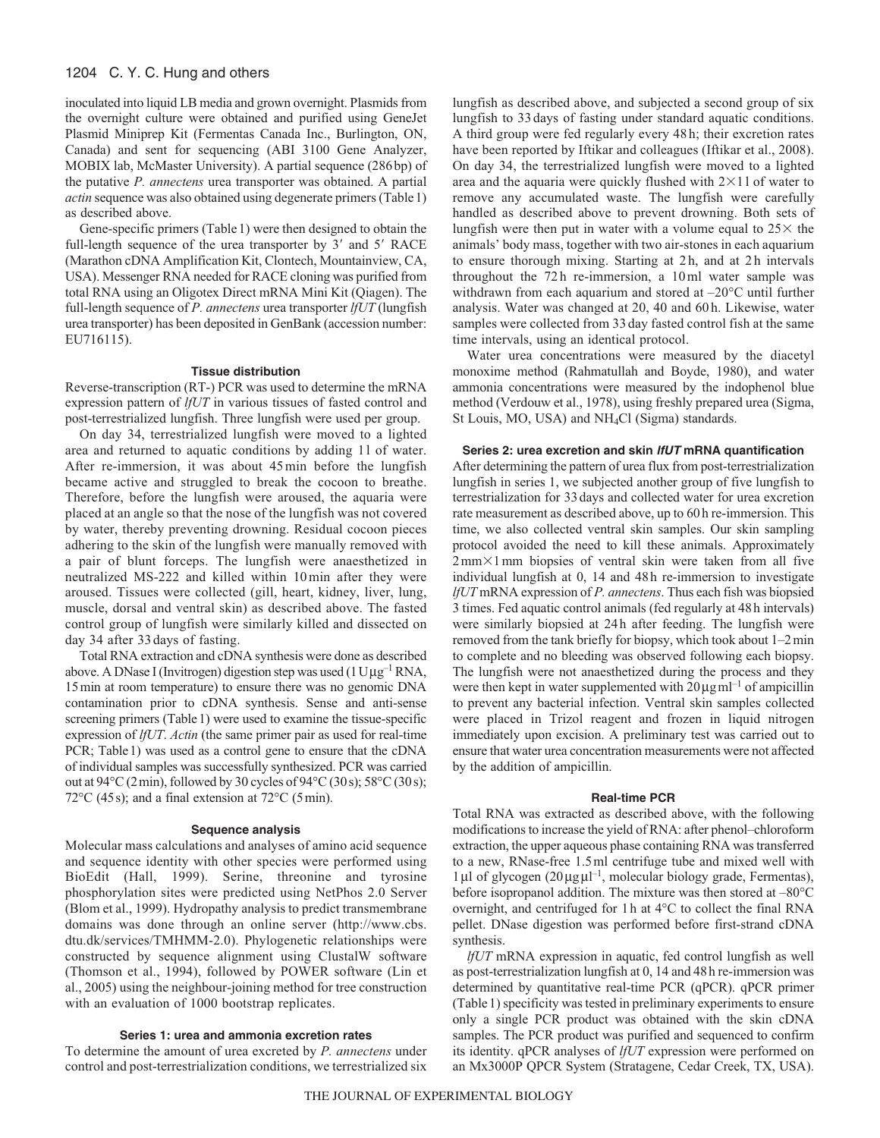### 1204 C. Y. C. Hung and others

inoculated into liquid LB media and grown overnight. Plasmids from the overnight culture were obtained and purified using GeneJet Plasmid Miniprep Kit (Fermentas Canada Inc., Burlington, ON, Canada) and sent for sequencing (ABI 3100 Gene Analyzer, MOBIX lab, McMaster University). A partial sequence (286bp) of the putative *P. annectens* urea transporter was obtained. A partial *actin* sequence was also obtained using degenerate primers (Table1) as described above.

Gene-specific primers (Table1) were then designed to obtain the full-length sequence of the urea transporter by 3' and 5' RACE (Marathon cDNA Amplification Kit, Clontech, Mountainview, CA, USA). Messenger RNA needed for RACE cloning was purified from total RNA using an Oligotex Direct mRNA Mini Kit (Qiagen). The full-length sequence of *P. annectens* urea transporter *lfUT* (lungfish urea transporter) has been deposited in GenBank (accession number: EU716115).

### **Tissue distribution**

Reverse-transcription (RT-) PCR was used to determine the mRNA expression pattern of *lfUT* in various tissues of fasted control and post-terrestrialized lungfish. Three lungfish were used per group.

On day 34, terrestrialized lungfish were moved to a lighted area and returned to aquatic conditions by adding 1l of water. After re-immersion, it was about 45min before the lungfish became active and struggled to break the cocoon to breathe. Therefore, before the lungfish were aroused, the aquaria were placed at an angle so that the nose of the lungfish was not covered by water, thereby preventing drowning. Residual cocoon pieces adhering to the skin of the lungfish were manually removed with a pair of blunt forceps. The lungfish were anaesthetized in neutralized MS-222 and killed within 10min after they were aroused. Tissues were collected (gill, heart, kidney, liver, lung, muscle, dorsal and ventral skin) as described above. The fasted control group of lungfish were similarly killed and dissected on day 34 after 33days of fasting.

Total RNA extraction and cDNA synthesis were done as described above. A DNase I (Invitrogen) digestion step was used  $(1 \text{U}\mu\text{g}^{-1} \text{RNA}$ , 15min at room temperature) to ensure there was no genomic DNA contamination prior to cDNA synthesis. Sense and anti-sense screening primers (Table 1) were used to examine the tissue-specific expression of *lfUT*. *Actin* (the same primer pair as used for real-time PCR; Table 1) was used as a control gene to ensure that the cDNA of individual samples was successfully synthesized. PCR was carried out at 94°C (2min), followed by 30 cycles of 94°C (30s); 58°C (30s); 72 $\rm{°C}$  (45s); and a final extension at 72 $\rm{°C}$  (5min).

#### **Sequence analysis**

Molecular mass calculations and analyses of amino acid sequence and sequence identity with other species were performed using BioEdit (Hall, 1999). Serine, threonine and tyrosine phosphorylation sites were predicted using NetPhos 2.0 Server (Blom et al., 1999). Hydropathy analysis to predict transmembrane domains was done through an online server (http://www.cbs. dtu.dk/services/TMHMM-2.0). Phylogenetic relationships were constructed by sequence alignment using ClustalW software (Thomson et al., 1994), followed by POWER software (Lin et al., 2005) using the neighbour-joining method for tree construction with an evaluation of 1000 bootstrap replicates.

### **Series 1: urea and ammonia excretion rates**

To determine the amount of urea excreted by *P. annectens* under control and post-terrestrialization conditions, we terrestrialized six lungfish as described above, and subjected a second group of six lungfish to 33 days of fasting under standard aquatic conditions. A third group were fed regularly every 48 h; their excretion rates have been reported by Iftikar and colleagues (Iftikar et al., 2008). On day 34, the terrestrialized lungfish were moved to a lighted area and the aquaria were quickly flushed with  $2\times11$  of water to remove any accumulated waste. The lungfish were carefully handled as described above to prevent drowning. Both sets of lungfish were then put in water with a volume equal to  $25\times$  the animals' body mass, together with two air-stones in each aquarium to ensure thorough mixing. Starting at 2 h, and at 2 h intervals throughout the 72 h re-immersion, a 10 ml water sample was withdrawn from each aquarium and stored at –20°C until further analysis. Water was changed at 20, 40 and 60 h. Likewise, water samples were collected from 33 day fasted control fish at the same time intervals, using an identical protocol.

Water urea concentrations were measured by the diacetyl monoxime method (Rahmatullah and Boyde, 1980), and water ammonia concentrations were measured by the indophenol blue method (Verdouw et al., 1978), using freshly prepared urea (Sigma, St Louis, MO, USA) and NH4Cl (Sigma) standards.

#### **Series 2: urea excretion and skin lfUT mRNA quantification**

After determining the pattern of urea flux from post-terrestrialization lungfish in series 1, we subjected another group of five lungfish to terrestrialization for 33days and collected water for urea excretion rate measurement as described above, up to 60h re-immersion. This time, we also collected ventral skin samples. Our skin sampling protocol avoided the need to kill these animals. Approximately  $2mm \times 1mm$  biopsies of ventral skin were taken from all five individual lungfish at 0, 14 and 48h re-immersion to investigate *lfUT* mRNA expression of *P. annectens*. Thus each fish was biopsied 3 times. Fed aquatic control animals (fed regularly at 48h intervals) were similarly biopsied at 24h after feeding. The lungfish were removed from the tank briefly for biopsy, which took about 1–2min to complete and no bleeding was observed following each biopsy. The lungfish were not anaesthetized during the process and they were then kept in water supplemented with  $20\mu\text{g}$ ml<sup>-1</sup> of ampicillin to prevent any bacterial infection. Ventral skin samples collected were placed in Trizol reagent and frozen in liquid nitrogen immediately upon excision. A preliminary test was carried out to ensure that water urea concentration measurements were not affected by the addition of ampicillin.

### **Real-time PCR**

Total RNA was extracted as described above, with the following modifications to increase the yield of RNA: after phenol–chloroform extraction, the upper aqueous phase containing RNA was transferred to a new, RNase-free 1.5ml centrifuge tube and mixed well with 1μl of glycogen (20μgμl –1, molecular biology grade, Fermentas), before isopropanol addition. The mixture was then stored at –80°C overnight, and centrifuged for 1h at 4°C to collect the final RNA pellet. DNase digestion was performed before first-strand cDNA synthesis.

*lfUT* mRNA expression in aquatic, fed control lungfish as well as post-terrestrialization lungfish at 0, 14 and 48h re-immersion was determined by quantitative real-time PCR (qPCR). qPCR primer (Table1) specificity was tested in preliminary experiments to ensure only a single PCR product was obtained with the skin cDNA samples. The PCR product was purified and sequenced to confirm its identity. qPCR analyses of *lfUT* expression were performed on an Mx3000P QPCR System (Stratagene, Cedar Creek, TX, USA).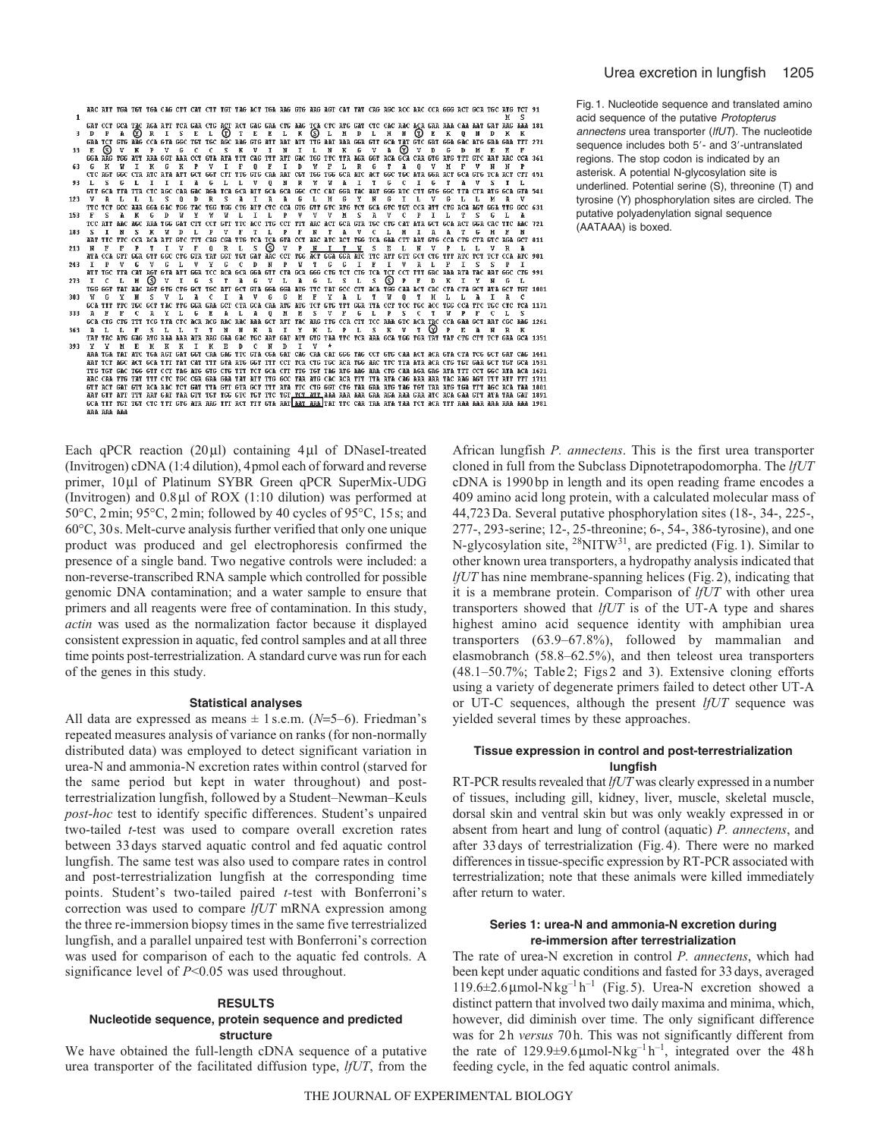Fig. 1. Nucleotide sequence and translated amino acid sequence of the putative Protopterus annectens urea transporter (IfUT). The nucleotide sequence includes both 5'- and 3'-untranslated regions. The stop codon is indicated by an asterisk. A potential N-glycosylation site is underlined. Potential serine (S), threonine (T) and tyrosine (Y) phosphorylation sites are circled. The putative polyadenylation signal sequence (AATAAA) is boxed.

ARC ATT TGA TGT TGA CAG CTT CAT CTT TGT TAG ACT TGA AAG GTG AAG AGT CAT TAT CAG AGC ACC AAC CCA GGG ACT GCA TGC ATG TCT 91  $\mathbf{I}$ GAT CCT GCA TAC AGA ATT TCA GAA CTG ACT GAG GAA CTG AAG TCA CTC ATG GAT CTC CAC AAC AGA GAA AAA CAA AAT GAT AAG AAA<br>
D P A CO R T ENG CGA GTA GGC TGT TGC AGE OF THE E L K Q L M D L M K Q E K 0 M D A K<br>
GAA TCT GTG AAG CCA 33 CTC AGT GGC CTA ATC ATT GCT GGT CTT TTG GTG CAA AAT CGT TGG TGG GCA ATC ACT GGC TGC ATA GGA ACT GCA GTG TCA ACT CTT 451 63 93 L S G L I I I A G L L V Q N R W W A I T G C I G T A V S T L<br>GTT GCATTATTACTC AGC CAAGAC AGATCAGCAATT GCAGCG GGC CTC CAT GGATAC AAT GGG ATC CTT GTG GGC TTACTAATG GCAGTA541 V A LL L S Q D R S A L A A G L H G Y M G I L V G L L M A V<br>TTC TCT GCC ARABCA GGC TGC TCT CCC CAT CTC CCC GTC GTC TCT CTC ACT CCC GTC TCTC AT A T CCC G31<br>F S A K G D W Y W V L I L P V V W S A V C P I L T S G L A 123 TTC TO THE REAL BOAT TO THE REAL PROPERTY OF THE REAL PROPERTY OF THE REAL PROPERTY OF THE REAL PROPERTY OF THE REAL PROPERTY OF THE REAL PROPERTY OF THE REAL PROPERTY OF THE REAL PROPERTY OF THE REAL PROPERTY OF THE REAL 153 183 S I N S K W D L P V F T L P F N T A V C L H I A A T G H F N<br>PATTIC CCA RCA ATT GTC THE CROGGA TIG FOR CAT A CONTROL CHAR CTT PATT AND GTC GTC AGE CONTROL CONTROL OF A BATT<br>ATA CCA GTT GGA GTT GGC CTG GTA TAT GGT TGT GAT R 213 A T PROGRAM CONTRACT ON THE RELEASE OF THE RELEASE OF THE RELEASE OF THE RELEASE OF THE RELEASE OF THE RELEASE OF THE RELEASE OF THE RELEASE OF THE RELEASE OF THE RELEASE OF THE RELEASE OF THE RELEASE OF THE RELEASE OF THE 243 273 303 W G Y N S V L A C I A V G G M F Y A L T W Q T H L L A I A C<br>GCATTT TTC TGC GCT TAC TTG GGAGAG CCT CTAGCACAA ATG ATT OFT TGT GTATT GGATTA CCT TCC TGC ACC TGG CCATTC TGC CTC TCA1171 NET CATALLES AND SALACHER AND MESVE GLPS CTWPP CLS<br>
CATE CATACTER CARGON CONTRACTED AND MESVE GLPS CTYCE CAN CONTRACT CONTRACTED AND SALACHER AND SALACHER AND SALACHER AND SALACHER AND SALACHER AND SALACHER AND SALACHER AN 333 363 393 Y Y M E M K K I K E D C N D I V \*<br>ARA TGA TAT ATC TGA AGT GAT GGT CAA GAG TTC GTA CGA GAT CAG CAA CAT GGG TAG CCT GTG CAA ACT ACA GTA CTA TCG GCT GAT CAG 1441 AR TOT REC THAT AND THAT THE CAT INTO THE GET OF THE CAT CAT THE CAT THE CAT THE CAT AND THE CAT AND A BATT THE CAT IT IN CAT IT IN CAT IT IS A RECORD TO THE CAT IT IS A RECORD TO THE CAT IN THE CAT IN THE CAT IN THE CAT I aaa aaa aaa

Each qPCR reaction (20μl) containing 4μl of DNaseI-treated (Invitrogen) cDNA (1:4 dilution), 4pmol each of forward and reverse primer, 10μl of Platinum SYBR Green qPCR SuperMix-UDG (Invitrogen) and 0.8μl of ROX (1:10 dilution) was performed at 50°C, 2min; 95°C, 2min; followed by 40 cycles of 95°C, 15s; and 60°C, 30s. Melt-curve analysis further verified that only one unique product was produced and gel electrophoresis confirmed the presence of a single band. Two negative controls were included: a non-reverse-transcribed RNA sample which controlled for possible genomic DNA contamination; and a water sample to ensure that primers and all reagents were free of contamination. In this study, *actin* was used as the normalization factor because it displayed consistent expression in aquatic, fed control samples and at all three time points post-terrestrialization. A standard curve was run for each of the genes in this study.

#### **Statistical analyses**

All data are expressed as means  $\pm$  1 s.e.m. ( $N=5-6$ ). Friedman's repeated measures analysis of variance on ranks (for non-normally distributed data) was employed to detect significant variation in urea-N and ammonia-N excretion rates within control (starved for the same period but kept in water throughout) and postterrestrialization lungfish, followed by a Student–Newman–Keuls *post*-*hoc* test to identify specific differences. Student's unpaired two-tailed *t*-test was used to compare overall excretion rates between 33days starved aquatic control and fed aquatic control lungfish. The same test was also used to compare rates in control and post-terrestrialization lungfish at the corresponding time points. Student's two-tailed paired *t-*test with Bonferroni's correction was used to compare *lfUT* mRNA expression among the three re-immersion biopsy times in the same five terrestrialized lungfish, and a parallel unpaired test with Bonferroni's correction was used for comparison of each to the aquatic fed controls. A significance level of *P*<0.05 was used throughout.

#### **RESULTS**

### **Nucleotide sequence, protein sequence and predicted structure**

We have obtained the full-length cDNA sequence of a putative urea transporter of the facilitated diffusion type, *lfUT*, from the

African lungfish *P. annectens*. This is the first urea transporter cloned in full from the Subclass Dipnotetrapodomorpha. The *lfUT* cDNA is 1990bp in length and its open reading frame encodes a 409 amino acid long protein, with a calculated molecular mass of 44,723Da. Several putative phosphorylation sites (18-, 34-, 225-, 277-, 293-serine; 12-, 25-threonine; 6-, 54-, 386-tyrosine), and one N-glycosylation site,  $28\,\text{NITW}^{31}$ , are predicted (Fig. 1). Similar to other known urea transporters, a hydropathy analysis indicated that *lfUT* has nine membrane-spanning helices (Fig. 2), indicating that it is a membrane protein. Comparison of *lfUT* with other urea transporters showed that *lfUT* is of the UT-A type and shares highest amino acid sequence identity with amphibian urea transporters (63.9–67.8%), followed by mammalian and elasmobranch (58.8–62.5%), and then teleost urea transporters (48.1–50.7%; Table2; Figs2 and 3). Extensive cloning efforts using a variety of degenerate primers failed to detect other UT-A or UT-C sequences, although the present *lfUT* sequence was yielded several times by these approaches.

### **Tissue expression in control and post-terrestrialization lungfish**

RT-PCR results revealed that *lfUT* was clearly expressed in a number of tissues, including gill, kidney, liver, muscle, skeletal muscle, dorsal skin and ventral skin but was only weakly expressed in or absent from heart and lung of control (aquatic) *P. annectens*, and after 33days of terrestrialization (Fig.4). There were no marked differences in tissue-specific expression by RT-PCR associated with terrestrialization; note that these animals were killed immediately after return to water.

### **Series 1: urea-N and ammonia-N excretion during re-immersion after terrestrialization**

The rate of urea-N excretion in control *P. annectens*, which had been kept under aquatic conditions and fasted for 33days, averaged 119.6 $\pm$ 2.6 µmol-Nkg<sup>-1</sup> h<sup>-1</sup> (Fig. 5). Urea-N excretion showed a distinct pattern that involved two daily maxima and minima, which, however, did diminish over time. The only significant difference was for 2h *versus* 70h. This was not significantly different from the rate of 129.9 $\pm$ 9.6 µmol-Nkg<sup>-1</sup> h<sup>-1</sup>, integrated over the 48h feeding cycle, in the fed aquatic control animals.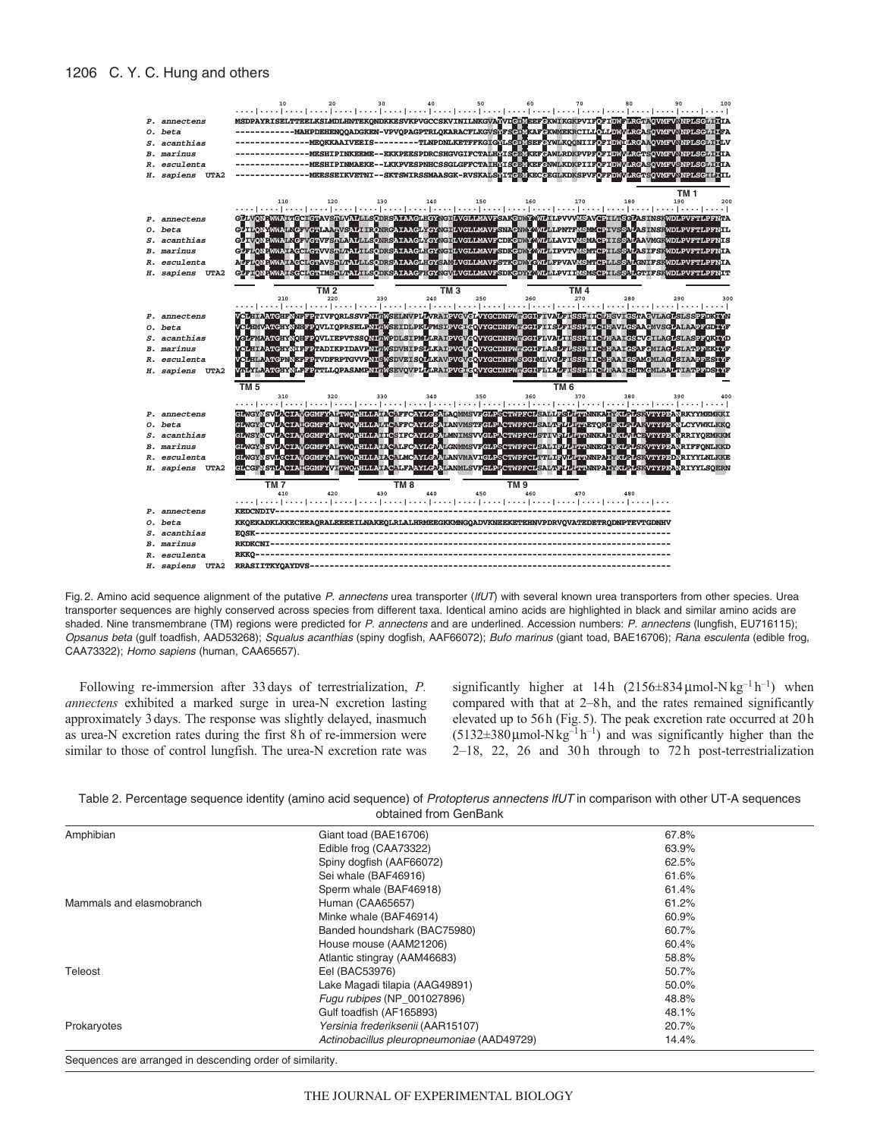

Fig. 2. Amino acid sequence alignment of the putative P. annectens urea transporter (IfUT) with several known urea transporters from other species. Urea transporter sequences are highly conserved across species from different taxa. Identical amino acids are highlighted in black and similar amino acids are shaded. Nine transmembrane (TM) regions were predicted for P. annectens and are underlined. Accession numbers: P. annectens (lungfish, EU716115); Opsanus beta (gulf toadfish, AAD53268); Squalus acanthias (spiny dogfish, AAF66072); Bufo marinus (giant toad, BAE16706); Rana esculenta (edible frog, CAA73322); Homo sapiens (human, CAA65657).

Following re-immersion after 33days of terrestrialization, *P. annectens* exhibited a marked surge in urea-N excretion lasting approximately 3days. The response was slightly delayed, inasmuch as urea-N excretion rates during the first 8h of re-immersion were similar to those of control lungfish. The urea-N excretion rate was significantly higher at 14h  $(2156\pm 834 \,\mu\text{mol-N}\,\text{kg}^{-1}\,\text{h}^{-1})$  when compared with that at 2–8h, and the rates remained significantly elevated up to 56h (Fig.5). The peak excretion rate occurred at 20h  $(5132\pm380 \,\mu\text{mol-Nkg}^{-1} \text{h}^{-1})$  and was significantly higher than the 2-18, 22, 26 and 30h through to 72h post-terrestrialization

| Table 2. Percentage sequence identity (amino acid sequence) of Protopterus annectens IfUT in comparison with other UT-A sequences |  |
|-----------------------------------------------------------------------------------------------------------------------------------|--|
| obtained from GenBank                                                                                                             |  |

| Amphibian                | Giant toad (BAE16706)                      | 67.8% |  |
|--------------------------|--------------------------------------------|-------|--|
|                          | Edible frog (CAA73322)                     | 63.9% |  |
|                          | Spiny dogfish (AAF66072)                   | 62.5% |  |
|                          | Sei whale (BAF46916)                       | 61.6% |  |
|                          | Sperm whale (BAF46918)                     | 61.4% |  |
| Mammals and elasmobranch | Human (CAA65657)                           | 61.2% |  |
|                          | Minke whale (BAF46914)                     | 60.9% |  |
|                          | Banded houndshark (BAC75980)               | 60.7% |  |
|                          | House mouse (AAM21206)                     | 60.4% |  |
|                          | Atlantic stingray (AAM46683)               | 58.8% |  |
| Teleost                  | Eel (BAC53976)                             | 50.7% |  |
|                          | Lake Magadi tilapia (AAG49891)             | 50.0% |  |
|                          | Fugu rubipes (NP_001027896)                | 48.8% |  |
|                          | Gulf toadfish (AF165893)                   | 48.1% |  |
| Prokaryotes              | Yersinia frederiksenii (AAR15107)          | 20.7% |  |
|                          | Actinobacillus pleuropneumoniae (AAD49729) | 14.4% |  |

Sequences are arranged in descending order of similarity.

## 1206 C. Y. C. Hung and others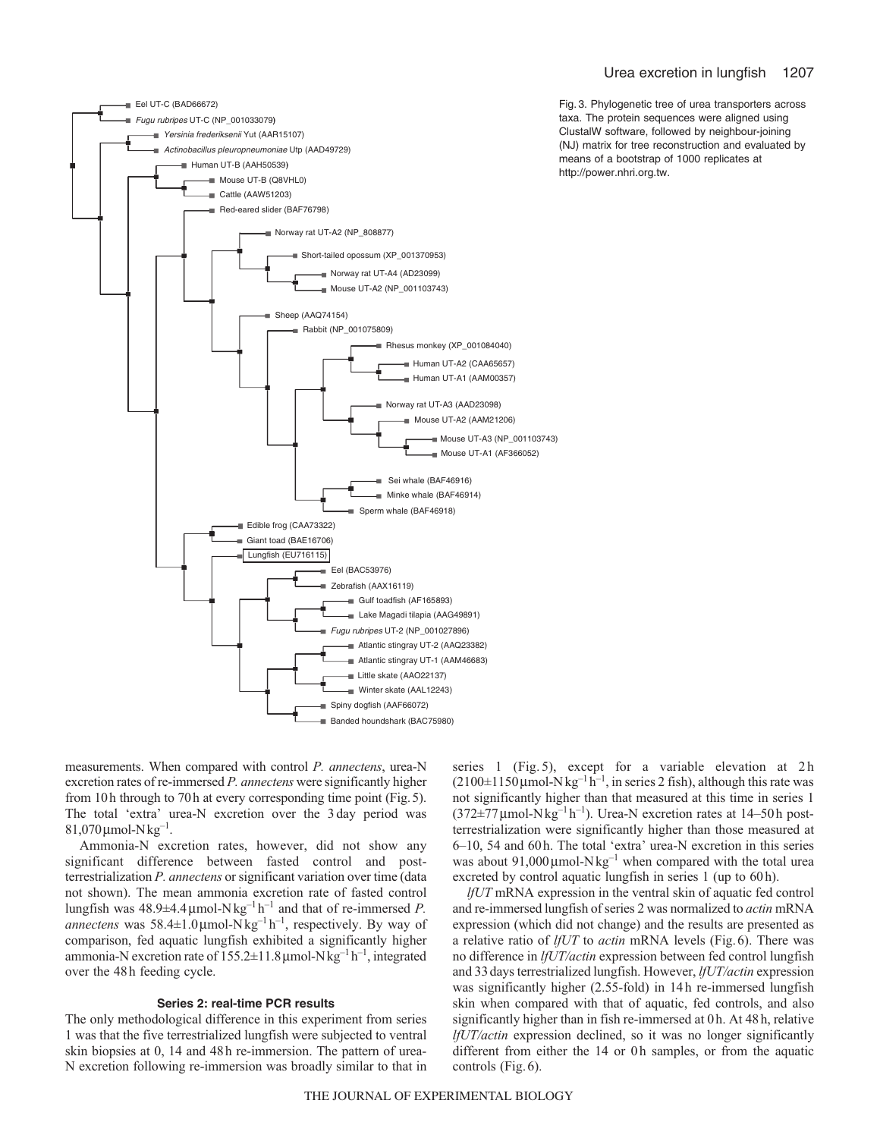

Fig. 3. Phylogenetic tree of urea transporters across taxa. The protein sequences were aligned using ClustalW software, followed by neighbour-joining (NJ) matrix for tree reconstruction and evaluated by means of a bootstrap of 1000 replicates at http://power.nhri.org.tw.

measurements. When compared with control *P. annectens*, urea-N excretion rates of re-immersed *P. annectens* were significantly higher from 10h through to 70h at every corresponding time point (Fig.5). The total 'extra' urea-N excretion over the 3 day period was  $81,070 \,\mu$ mol-Nkg<sup>-1</sup>.

Ammonia-N excretion rates, however, did not show any significant difference between fasted control and postterrestrialization *P. annectens* or significant variation over time (data not shown). The mean ammonia excretion rate of fasted control lungfish was  $48.9\pm4.4\,\mu$ mol-N $\text{kg}^{-1}\text{h}^{-1}$  and that of re-immersed *P*. *annectens* was 58.4±1.0μmol-Nkg–1 h–1, respectively. By way of comparison, fed aquatic lungfish exhibited a significantly higher ammonia-N excretion rate of  $155.2 \pm 11.8 \,\mu$  mol-N kg<sup>-1</sup> h<sup>-1</sup>, integrated over the 48h feeding cycle.

### **Series 2: real-time PCR results**

The only methodological difference in this experiment from series 1 was that the five terrestrialized lungfish were subjected to ventral skin biopsies at 0, 14 and 48h re-immersion. The pattern of urea-N excretion following re-immersion was broadly similar to that in series 1 (Fig. 5), except for a variable elevation at 2h  $(2100\pm1150 \,\mu\text{mol-Nkg}^{-1} \text{h}^{-1}$ , in series 2 fish), although this rate was not significantly higher than that measured at this time in series 1  $(372\pm77 \,\mu\text{mol-Nkg}^{-1} \text{h}^{-1})$ . Urea-N excretion rates at 14–50 h postterrestrialization were significantly higher than those measured at 6–10, 54 and 60h. The total 'extra' urea-N excretion in this series was about 91,000  $\mu$ mol-Nkg<sup>-1</sup> when compared with the total urea excreted by control aquatic lungfish in series 1 (up to 60h).

*lfUT* mRNA expression in the ventral skin of aquatic fed control and re-immersed lungfish of series 2 was normalized to *actin* mRNA expression (which did not change) and the results are presented as a relative ratio of *lfUT* to *actin* mRNA levels (Fig.6). There was no difference in *lfUT/actin* expression between fed control lungfish and 33days terrestrialized lungfish. However, *lfUT/actin* expression was significantly higher (2.55-fold) in 14h re-immersed lungfish skin when compared with that of aquatic, fed controls, and also significantly higher than in fish re-immersed at 0h. At 48h, relative *lfUT/actin* expression declined, so it was no longer significantly different from either the 14 or 0h samples, or from the aquatic controls (Fig. 6).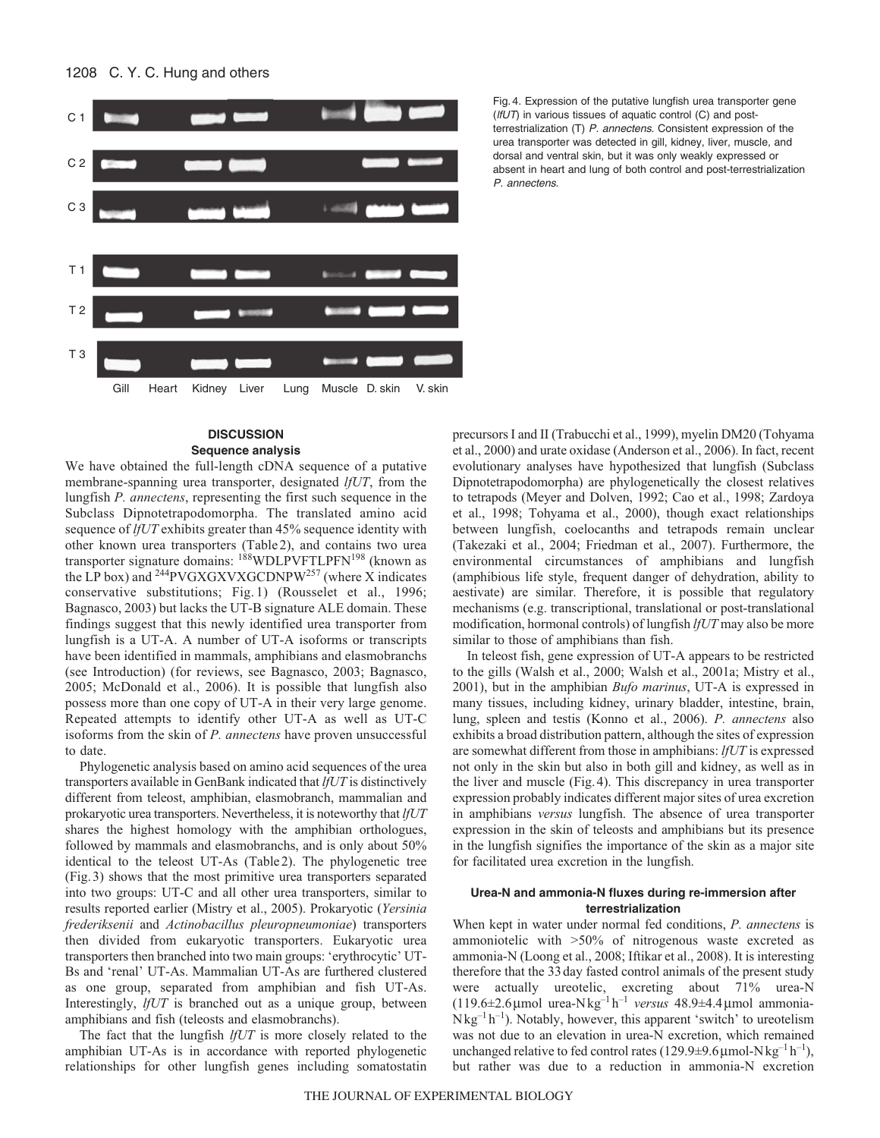

Fig. 4. Expression of the putative lungfish urea transporter gene  $(lfUT)$  in various tissues of aquatic control (C) and postterrestrialization (T) P. annectens. Consistent expression of the urea transporter was detected in gill, kidney, liver, muscle, and dorsal and ventral skin, but it was only weakly expressed or absent in heart and lung of both control and post-terrestrialization P. annectens.

### **DISCUSSION Sequence analysis**

We have obtained the full-length cDNA sequence of a putative membrane-spanning urea transporter, designated *lfUT*, from the lungfish *P. annectens*, representing the first such sequence in the Subclass Dipnotetrapodomorpha. The translated amino acid sequence of *lfUT* exhibits greater than 45% sequence identity with other known urea transporters (Table2), and contains two urea transporter signature domains: <sup>188</sup>WDLPVFTLPFN<sup>198</sup> (known as the LP box) and  $^{244}$ PVGXGXVXGCDNPW<sup>257</sup> (where X indicates conservative substitutions; Fig. 1) (Rousselet et al., 1996; Bagnasco, 2003) but lacks the UT-B signature ALE domain. These findings suggest that this newly identified urea transporter from lungfish is a UT-A. A number of UT-A isoforms or transcripts have been identified in mammals, amphibians and elasmobranchs (see Introduction) (for reviews, see Bagnasco, 2003; Bagnasco, 2005; McDonald et al., 2006). It is possible that lungfish also possess more than one copy of UT-A in their very large genome. Repeated attempts to identify other UT-A as well as UT-C isoforms from the skin of *P. annectens* have proven unsuccessful to date.

Phylogenetic analysis based on amino acid sequences of the urea transporters available in GenBank indicated that *lfUT* is distinctively different from teleost, amphibian, elasmobranch, mammalian and prokaryotic urea transporters. Nevertheless, it is noteworthy that *lfUT* shares the highest homology with the amphibian orthologues, followed by mammals and elasmobranchs, and is only about 50% identical to the teleost UT-As (Table2). The phylogenetic tree (Fig.3) shows that the most primitive urea transporters separated into two groups: UT-C and all other urea transporters, similar to results reported earlier (Mistry et al., 2005). Prokaryotic (*Yersinia frederiksenii* and *Actinobacillus pleuropneumoniae*) transporters then divided from eukaryotic transporters. Eukaryotic urea transporters then branched into two main groups: 'erythrocytic' UT-Bs and 'renal' UT-As. Mammalian UT-As are furthered clustered as one group, separated from amphibian and fish UT-As. Interestingly, *lfUT* is branched out as a unique group, between amphibians and fish (teleosts and elasmobranchs).

The fact that the lungfish *lfUT* is more closely related to the amphibian UT-As is in accordance with reported phylogenetic relationships for other lungfish genes including somatostatin precursors I and II (Trabucchi et al., 1999), myelin DM20 (Tohyama et al., 2000) and urate oxidase (Anderson et al., 2006). In fact, recent evolutionary analyses have hypothesized that lungfish (Subclass Dipnotetrapodomorpha) are phylogenetically the closest relatives to tetrapods (Meyer and Dolven, 1992; Cao et al., 1998; Zardoya et al., 1998; Tohyama et al., 2000), though exact relationships between lungfish, coelocanths and tetrapods remain unclear (Takezaki et al., 2004; Friedman et al., 2007). Furthermore, the environmental circumstances of amphibians and lungfish (amphibious life style, frequent danger of dehydration, ability to aestivate) are similar. Therefore, it is possible that regulatory mechanisms (e.g. transcriptional, translational or post-translational modification, hormonal controls) of lungfish *lfUT* may also be more similar to those of amphibians than fish.

In teleost fish, gene expression of UT-A appears to be restricted to the gills (Walsh et al., 2000; Walsh et al., 2001a; Mistry et al., 2001), but in the amphibian *Bufo marinus*, UT-A is expressed in many tissues, including kidney, urinary bladder, intestine, brain, lung, spleen and testis (Konno et al., 2006). *P. annectens* also exhibits a broad distribution pattern, although the sites of expression are somewhat different from those in amphibians: *lfUT* is expressed not only in the skin but also in both gill and kidney, as well as in the liver and muscle (Fig.4). This discrepancy in urea transporter expression probably indicates different major sites of urea excretion in amphibians *versus* lungfish. The absence of urea transporter expression in the skin of teleosts and amphibians but its presence in the lungfish signifies the importance of the skin as a major site for facilitated urea excretion in the lungfish.

### **Urea-N and ammonia-N fluxes during re-immersion after terrestrialization**

When kept in water under normal fed conditions, *P. annectens* is ammoniotelic with >50% of nitrogenous waste excreted as ammonia-N (Loong et al., 2008; Iftikar et al., 2008). It is interesting therefore that the 33day fasted control animals of the present study were actually ureotelic, excreting about 71% urea-N (119.6±2.6μmol urea-Nkg–1 h–1 *versus* 48.9±4.4μmol ammonia- $Nkg^{-1}h^{-1}$ ). Notably, however, this apparent 'switch' to ureotelism was not due to an elevation in urea-N excretion, which remained unchanged relative to fed control rates (129.9 $\pm$ 9.6 µmol-N kg<sup>-1</sup> h<sup>-1</sup>), but rather was due to a reduction in ammonia-N excretion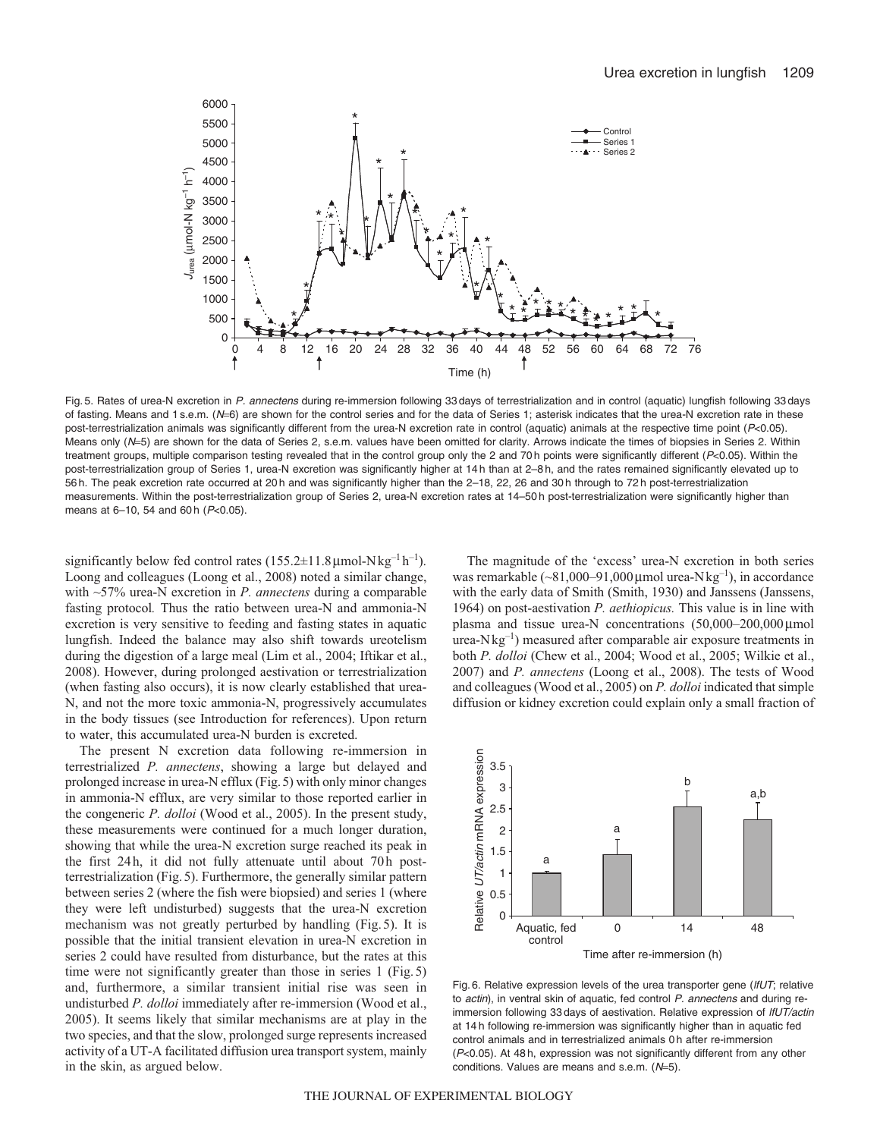

Fig. 5. Rates of urea-N excretion in P. annectens during re-immersion following 33 days of terrestrialization and in control (aquatic) lungfish following 33 days of fasting. Means and 1 s.e.m.  $(N=6)$  are shown for the control series and for the data of Series 1; asterisk indicates that the urea-N excretion rate in these post-terrestrialization animals was significantly different from the urea-N excretion rate in control (aquatic) animals at the respective time point (P<0.05). Means only (N=5) are shown for the data of Series 2, s.e.m. values have been omitted for clarity. Arrows indicate the times of biopsies in Series 2. Within treatment groups, multiple comparison testing revealed that in the control group only the 2 and 70 h points were significantly different (P<0.05). Within the post-terrestrialization group of Series 1, urea-N excretion was significantly higher at 14 h than at 2–8 h, and the rates remained significantly elevated up to 56 h. The peak excretion rate occurred at 20 h and was significantly higher than the 2–18, 22, 26 and 30 h through to 72 h post-terrestrialization measurements. Within the post-terrestrialization group of Series 2, urea-N excretion rates at 14–50 h post-terrestrialization were significantly higher than means at 6-10, 54 and 60 h  $(P<0.05)$ .

significantly below fed control rates  $(155.2 \pm 11.8 \,\mu\text{mol-Nkg}^{-1} \text{h}^{-1})$ . Loong and colleagues (Loong et al., 2008) noted a similar change, with ~57% urea-N excretion in *P. annectens* during a comparable fasting protocol*.* Thus the ratio between urea-N and ammonia-N excretion is very sensitive to feeding and fasting states in aquatic lungfish. Indeed the balance may also shift towards ureotelism during the digestion of a large meal (Lim et al., 2004; Iftikar et al., 2008). However, during prolonged aestivation or terrestrialization (when fasting also occurs), it is now clearly established that urea-N, and not the more toxic ammonia-N, progressively accumulates in the body tissues (see Introduction for references). Upon return to water, this accumulated urea-N burden is excreted.

The present N excretion data following re-immersion in terrestrialized *P. annectens*, showing a large but delayed and prolonged increase in urea-N efflux (Fig.5) with only minor changes in ammonia-N efflux, are very similar to those reported earlier in the congeneric *P. dolloi* (Wood et al., 2005). In the present study, these measurements were continued for a much longer duration, showing that while the urea-N excretion surge reached its peak in the first 24h, it did not fully attenuate until about 70h postterrestrialization (Fig.5). Furthermore, the generally similar pattern between series 2 (where the fish were biopsied) and series 1 (where they were left undisturbed) suggests that the urea-N excretion mechanism was not greatly perturbed by handling (Fig.5). It is possible that the initial transient elevation in urea-N excretion in series 2 could have resulted from disturbance, but the rates at this time were not significantly greater than those in series 1 (Fig.5) and, furthermore, a similar transient initial rise was seen in undisturbed *P. dolloi* immediately after re-immersion (Wood et al., 2005). It seems likely that similar mechanisms are at play in the two species, and that the slow, prolonged surge represents increased activity of a UT-A facilitated diffusion urea transport system, mainly in the skin, as argued below.

The magnitude of the 'excess' urea-N excretion in both series was remarkable (~81,000–91,000 $\mu$ mol urea-Nkg<sup>-1</sup>), in accordance with the early data of Smith (Smith, 1930) and Janssens (Janssens, 1964) on post-aestivation *P. aethiopicus.* This value is in line with plasma and tissue urea-N concentrations (50,000–200,000μmol  $u$ rea-Nkg<sup>-1</sup>) measured after comparable air exposure treatments in both *P. dolloi* (Chew et al., 2004; Wood et al., 2005; Wilkie et al., 2007) and *P. annectens* (Loong et al., 2008). The tests of Wood and colleagues (Wood et al., 2005) on *P. dolloi* indicated that simple diffusion or kidney excretion could explain only a small fraction of



Fig. 6. Relative expression levels of the urea transporter gene (IfUT; relative to actin), in ventral skin of aquatic, fed control P. annectens and during reimmersion following 33 days of aestivation. Relative expression of IfUT/actin at 14 h following re-immersion was significantly higher than in aquatic fed control animals and in terrestrialized animals 0 h after re-immersion (P<0.05). At 48 h, expression was not significantly different from any other conditions. Values are means and s.e.m. (N=5).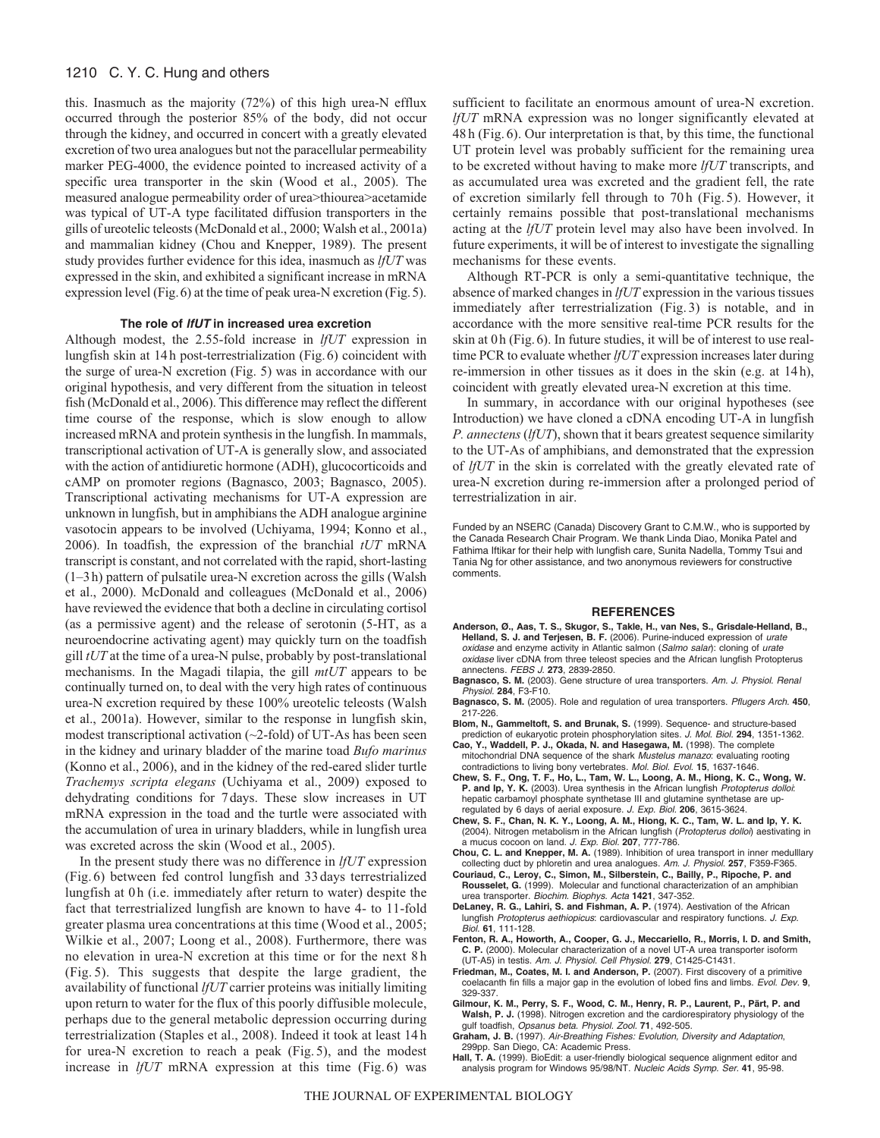### 1210 C. Y. C. Hung and others

this. Inasmuch as the majority (72%) of this high urea-N efflux occurred through the posterior 85% of the body, did not occur through the kidney, and occurred in concert with a greatly elevated excretion of two urea analogues but not the paracellular permeability marker PEG-4000, the evidence pointed to increased activity of a specific urea transporter in the skin (Wood et al., 2005). The measured analogue permeability order of urea>thiourea>acetamide was typical of UT-A type facilitated diffusion transporters in the gills of ureotelic teleosts (McDonald et al., 2000; Walsh et al., 2001a) and mammalian kidney (Chou and Knepper, 1989). The present study provides further evidence for this idea, inasmuch as *lfUT* was expressed in the skin, and exhibited a significant increase in mRNA expression level (Fig.6) at the time of peak urea-N excretion (Fig.5).

### **The role of lfUT in increased urea excretion**

Although modest, the 2.55-fold increase in *lfUT* expression in lungfish skin at 14h post-terrestrialization (Fig.6) coincident with the surge of urea-N excretion (Fig. 5) was in accordance with our original hypothesis, and very different from the situation in teleost fish (McDonald et al., 2006). This difference may reflect the different time course of the response, which is slow enough to allow increased mRNA and protein synthesis in the lungfish. In mammals, transcriptional activation of UT-A is generally slow, and associated with the action of antidiuretic hormone (ADH), glucocorticoids and cAMP on promoter regions (Bagnasco, 2003; Bagnasco, 2005). Transcriptional activating mechanisms for UT-A expression are unknown in lungfish, but in amphibians the ADH analogue arginine vasotocin appears to be involved (Uchiyama, 1994; Konno et al., 2006). In toadfish, the expression of the branchial *tUT* mRNA transcript is constant, and not correlated with the rapid, short-lasting (1–3h) pattern of pulsatile urea-N excretion across the gills (Walsh et al., 2000). McDonald and colleagues (McDonald et al., 2006) have reviewed the evidence that both a decline in circulating cortisol (as a permissive agent) and the release of serotonin (5-HT, as a neuroendocrine activating agent) may quickly turn on the toadfish gill *tUT* at the time of a urea-N pulse, probably by post-translational mechanisms. In the Magadi tilapia, the gill *mtUT* appears to be continually turned on, to deal with the very high rates of continuous urea-N excretion required by these 100% ureotelic teleosts (Walsh et al., 2001a). However, similar to the response in lungfish skin, modest transcriptional activation  $(\sim 2$ -fold) of UT-As has been seen in the kidney and urinary bladder of the marine toad *Bufo marinus* (Konno et al., 2006), and in the kidney of the red-eared slider turtle *Trachemys scripta elegans* (Uchiyama et al., 2009) exposed to dehydrating conditions for 7days. These slow increases in UT mRNA expression in the toad and the turtle were associated with the accumulation of urea in urinary bladders, while in lungfish urea was excreted across the skin (Wood et al., 2005).

In the present study there was no difference in *lfUT* expression (Fig. 6) between fed control lungfish and 33 days terrestrialized lungfish at 0 h (i.e. immediately after return to water) despite the fact that terrestrialized lungfish are known to have 4- to 11-fold greater plasma urea concentrations at this time (Wood et al., 2005; Wilkie et al., 2007; Loong et al., 2008). Furthermore, there was no elevation in urea-N excretion at this time or for the next 8 h (Fig. 5). This suggests that despite the large gradient, the availability of functional *lfUT* carrier proteins was initially limiting upon return to water for the flux of this poorly diffusible molecule, perhaps due to the general metabolic depression occurring during terrestrialization (Staples et al., 2008). Indeed it took at least 14 h for urea-N excretion to reach a peak (Fig. 5), and the modest increase in *lfUT* mRNA expression at this time (Fig. 6) was sufficient to facilitate an enormous amount of urea-N excretion. *lfUT* mRNA expression was no longer significantly elevated at 48 h (Fig. 6). Our interpretation is that, by this time, the functional UT protein level was probably sufficient for the remaining urea to be excreted without having to make more *lfUT* transcripts, and as accumulated urea was excreted and the gradient fell, the rate of excretion similarly fell through to 70 h (Fig. 5). However, it certainly remains possible that post-translational mechanisms acting at the *lfUT* protein level may also have been involved. In future experiments, it will be of interest to investigate the signalling mechanisms for these events.

Although RT-PCR is only a semi-quantitative technique, the absence of marked changes in *lfUT* expression in the various tissues immediately after terrestrialization (Fig. 3) is notable, and in accordance with the more sensitive real-time PCR results for the skin at 0h (Fig.6). In future studies, it will be of interest to use realtime PCR to evaluate whether *lfUT* expression increases later during re-immersion in other tissues as it does in the skin (e.g. at 14h), coincident with greatly elevated urea-N excretion at this time.

In summary, in accordance with our original hypotheses (see Introduction) we have cloned a cDNA encoding UT-A in lungfish *P. annectens* (*lfUT*), shown that it bears greatest sequence similarity to the UT-As of amphibians, and demonstrated that the expression of *lfUT* in the skin is correlated with the greatly elevated rate of urea-N excretion during re-immersion after a prolonged period of terrestrialization in air.

Funded by an NSERC (Canada) Discovery Grant to C.M.W., who is supported by the Canada Research Chair Program. We thank Linda Diao, Monika Patel and Fathima Iftikar for their help with lungfish care, Sunita Nadella, Tommy Tsui and Tania Ng for other assistance, and two anonymous reviewers for constructive comments.

#### **REFERENCES**

- **Anderson, Ø., Aas, T. S., Skugor, S., Takle, H., van Nes, S., Grisdale-Helland, B., Helland, S. J. and Terjesen, B. F.** (2006). Purine-induced expression of urate oxidase and enzyme activity in Atlantic salmon (Salmo salar): cloning of urate oxidase liver cDNA from three teleost species and the African lungfish Protopterus annectens. FEBS J. **273**, 2839-2850.
- **Bagnasco, S. M.** (2003). Gene structure of urea transporters. Am. J. Physiol. Renal Physiol. **284**, F3-F10.
- **Bagnasco, S. M.** (2005). Role and regulation of urea transporters. Pflugers Arch. **450**, 217-226.
- **Blom, N., Gammeltoft, S. and Brunak, S.** (1999). Sequence- and structure-based prediction of eukaryotic protein phosphorylation sites. J. Mol. Biol. **294**, 1351-1362.
- **Cao, Y., Waddell, P. J., Okada, N. and Hasegawa, M.** (1998). The complete mitochondrial DNA sequence of the shark Mustelus manazo: evaluating rooting contradictions to living bony vertebrates. Mol. Biol. Evol. **15**, 1637-1646.
- **Chew, S. F., Ong, T. F., Ho, L., Tam, W. L., Loong, A. M., Hiong, K. C., Wong, W. P. and Ip, Y. K.** (2003). Urea synthesis in the African lungfish Protopterus dolloi: hepatic carbamoyl phosphate synthetase III and glutamine synthetase are upregulated by 6 days of aerial exposure. J. Exp. Biol. **206**, 3615-3624.
- **Chew, S. F., Chan, N. K. Y., Loong, A. M., Hiong, K. C., Tam, W. L. and Ip, Y. K.** (2004). Nitrogen metabolism in the African lungfish (Protopterus dolloi) aestivating in a mucus cocoon on land. J. Exp. Biol. **207**, 777-786.
- **Chou, C. L. and Knepper, M. A.** (1989). Inhibition of urea transport in inner medulllary collecting duct by phloretin and urea analogues. Am. J. Physiol. **257**, F359-F365.
- **Couriaud, C., Leroy, C., Simon, M., Silberstein, C., Bailly, P., Ripoche, P. and Rousselet, G.** (1999). Molecular and functional characterization of an amphibian urea transporter. Biochim. Biophys. Acta **1421**, 347-352.
- **DeLaney, R. G., Lahiri, S. and Fishman, A. P.** (1974). Aestivation of the African lungfish Protopterus aethiopicus: cardiovascular and respiratory functions. J. Exp. Biol. **61**, 111-128.
- **Fenton, R. A., Howorth, A., Cooper, G. J., Meccariello, R., Morris, I. D. and Smith, C. P.** (2000). Molecular characterization of a novel UT-A urea transporter isoform (UT-A5) in testis. Am. J. Physiol. Cell Physiol. **279**, C1425-C1431.
- **Friedman, M., Coates, M. I. and Anderson, P.** (2007). First discovery of a primitive coelacanth fin fills a major gap in the evolution of lobed fins and limbs. Evol. Dev. **9**, 329-337.
- **Gilmour, K. M., Perry, S. F., Wood, C. M., Henry, R. P., Laurent, P., Pärt, P. and Walsh, P. J.** (1998). Nitrogen excretion and the cardiorespiratory physiology of the gulf toadfish, Opsanus beta. Physiol. Zool. **71**, 492-505.
- **Graham, J. B.** (1997). Air-Breathing Fishes: Evolution, Diversity and Adaptation, 299pp. San Diego, CA: Academic Press.
- Hall, T. A. (1999). BioEdit: a user-friendly biological sequence alignment editor and analysis program for Windows 95/98/NT. Nucleic Acids Symp. Ser. **41**, 95-98.